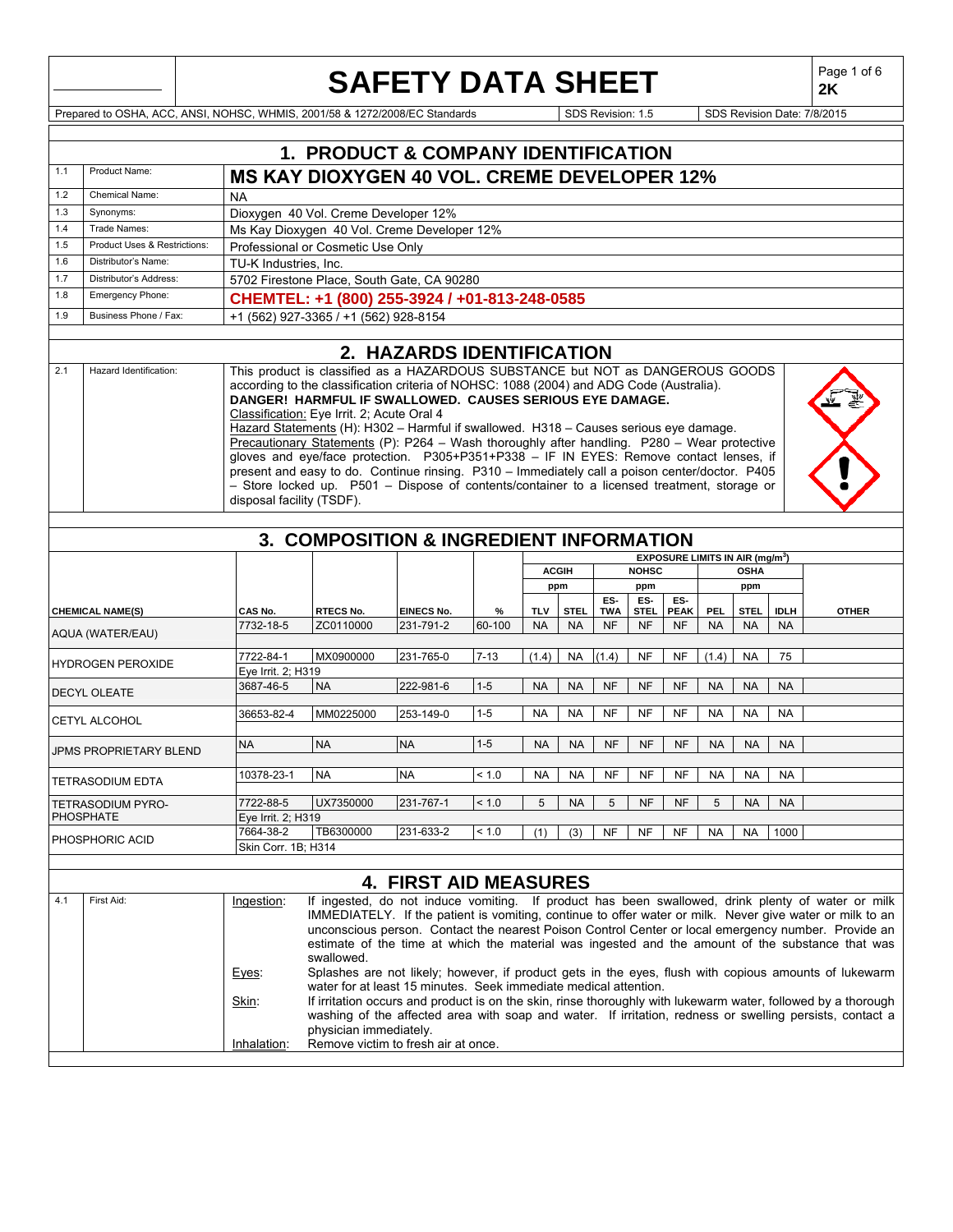|     |                                                                             |                                                                                                                                                                                                                                                                                                                                                                                                                                                                                                                                                                                                                                                                                                                                                                                                      |                                 |                                                                                            | <b>SAFETY DATA SHEET</b>     |          |            |              |                   |                    |                                             |           |             |             | Page 1 of 6<br>2K                                                                                                                                                                                                                                                                                                                                                                                                        |
|-----|-----------------------------------------------------------------------------|------------------------------------------------------------------------------------------------------------------------------------------------------------------------------------------------------------------------------------------------------------------------------------------------------------------------------------------------------------------------------------------------------------------------------------------------------------------------------------------------------------------------------------------------------------------------------------------------------------------------------------------------------------------------------------------------------------------------------------------------------------------------------------------------------|---------------------------------|--------------------------------------------------------------------------------------------|------------------------------|----------|------------|--------------|-------------------|--------------------|---------------------------------------------|-----------|-------------|-------------|--------------------------------------------------------------------------------------------------------------------------------------------------------------------------------------------------------------------------------------------------------------------------------------------------------------------------------------------------------------------------------------------------------------------------|
|     | Prepared to OSHA, ACC, ANSI, NOHSC, WHMIS, 2001/58 & 1272/2008/EC Standards |                                                                                                                                                                                                                                                                                                                                                                                                                                                                                                                                                                                                                                                                                                                                                                                                      |                                 |                                                                                            |                              |          |            |              | SDS Revision: 1.5 |                    |                                             |           |             |             | SDS Revision Date: 7/8/2015                                                                                                                                                                                                                                                                                                                                                                                              |
|     |                                                                             |                                                                                                                                                                                                                                                                                                                                                                                                                                                                                                                                                                                                                                                                                                                                                                                                      |                                 |                                                                                            |                              |          |            |              |                   |                    |                                             |           |             |             |                                                                                                                                                                                                                                                                                                                                                                                                                          |
|     |                                                                             |                                                                                                                                                                                                                                                                                                                                                                                                                                                                                                                                                                                                                                                                                                                                                                                                      |                                 | 1. PRODUCT & COMPANY IDENTIFICATION                                                        |                              |          |            |              |                   |                    |                                             |           |             |             |                                                                                                                                                                                                                                                                                                                                                                                                                          |
| 1.1 | Product Name:                                                               |                                                                                                                                                                                                                                                                                                                                                                                                                                                                                                                                                                                                                                                                                                                                                                                                      |                                 | <b>MS KAY DIOXYGEN 40 VOL. CREME DEVELOPER 12%</b>                                         |                              |          |            |              |                   |                    |                                             |           |             |             |                                                                                                                                                                                                                                                                                                                                                                                                                          |
| 1.2 | <b>Chemical Name:</b>                                                       | <b>NA</b>                                                                                                                                                                                                                                                                                                                                                                                                                                                                                                                                                                                                                                                                                                                                                                                            |                                 |                                                                                            |                              |          |            |              |                   |                    |                                             |           |             |             |                                                                                                                                                                                                                                                                                                                                                                                                                          |
| 1.3 | Synonyms:                                                                   |                                                                                                                                                                                                                                                                                                                                                                                                                                                                                                                                                                                                                                                                                                                                                                                                      |                                 | Dioxygen 40 Vol. Creme Developer 12%                                                       |                              |          |            |              |                   |                    |                                             |           |             |             |                                                                                                                                                                                                                                                                                                                                                                                                                          |
| 1.4 | Trade Names:                                                                |                                                                                                                                                                                                                                                                                                                                                                                                                                                                                                                                                                                                                                                                                                                                                                                                      |                                 | Ms Kay Dioxygen 40 Vol. Creme Developer 12%                                                |                              |          |            |              |                   |                    |                                             |           |             |             |                                                                                                                                                                                                                                                                                                                                                                                                                          |
| 1.5 | Product Uses & Restrictions:                                                |                                                                                                                                                                                                                                                                                                                                                                                                                                                                                                                                                                                                                                                                                                                                                                                                      |                                 | Professional or Cosmetic Use Only                                                          |                              |          |            |              |                   |                    |                                             |           |             |             |                                                                                                                                                                                                                                                                                                                                                                                                                          |
| 1.6 | Distributor's Name:                                                         |                                                                                                                                                                                                                                                                                                                                                                                                                                                                                                                                                                                                                                                                                                                                                                                                      | TU-K Industries, Inc.           |                                                                                            |                              |          |            |              |                   |                    |                                             |           |             |             |                                                                                                                                                                                                                                                                                                                                                                                                                          |
| 1.7 | Distributor's Address:                                                      |                                                                                                                                                                                                                                                                                                                                                                                                                                                                                                                                                                                                                                                                                                                                                                                                      |                                 | 5702 Firestone Place, South Gate, CA 90280                                                 |                              |          |            |              |                   |                    |                                             |           |             |             |                                                                                                                                                                                                                                                                                                                                                                                                                          |
| 1.8 | Emergency Phone:                                                            |                                                                                                                                                                                                                                                                                                                                                                                                                                                                                                                                                                                                                                                                                                                                                                                                      |                                 | CHEMTEL: +1 (800) 255-3924 / +01-813-248-0585                                              |                              |          |            |              |                   |                    |                                             |           |             |             |                                                                                                                                                                                                                                                                                                                                                                                                                          |
| 1.9 | Business Phone / Fax:                                                       |                                                                                                                                                                                                                                                                                                                                                                                                                                                                                                                                                                                                                                                                                                                                                                                                      |                                 | +1 (562) 927-3365 / +1 (562) 928-8154                                                      |                              |          |            |              |                   |                    |                                             |           |             |             |                                                                                                                                                                                                                                                                                                                                                                                                                          |
|     |                                                                             |                                                                                                                                                                                                                                                                                                                                                                                                                                                                                                                                                                                                                                                                                                                                                                                                      |                                 |                                                                                            |                              |          |            |              |                   |                    |                                             |           |             |             |                                                                                                                                                                                                                                                                                                                                                                                                                          |
| 2.1 | Hazard Identification:                                                      |                                                                                                                                                                                                                                                                                                                                                                                                                                                                                                                                                                                                                                                                                                                                                                                                      |                                 |                                                                                            | 2. HAZARDS IDENTIFICATION    |          |            |              |                   |                    |                                             |           |             |             |                                                                                                                                                                                                                                                                                                                                                                                                                          |
|     |                                                                             | This product is classified as a HAZARDOUS SUBSTANCE but NOT as DANGEROUS GOODS<br>according to the classification criteria of NOHSC: 1088 (2004) and ADG Code (Australia).<br>DANGER! HARMFUL IF SWALLOWED. CAUSES SERIOUS EYE DAMAGE.<br>Classification: Eye Irrit. 2; Acute Oral 4<br>Hazard Statements (H): H302 - Harmful if swallowed. H318 - Causes serious eye damage.<br>Precautionary Statements (P): P264 - Wash thoroughly after handling. P280 - Wear protective<br>gloves and eve/face protection. P305+P351+P338 - IF IN EYES: Remove contact lenses, if<br>present and easy to do. Continue rinsing. P310 - Immediately call a poison center/doctor. P405<br>- Store locked up. P501 - Dispose of contents/container to a licensed treatment, storage or<br>disposal facility (TSDF). |                                 |                                                                                            |                              |          |            |              |                   |                    |                                             |           |             |             |                                                                                                                                                                                                                                                                                                                                                                                                                          |
|     |                                                                             |                                                                                                                                                                                                                                                                                                                                                                                                                                                                                                                                                                                                                                                                                                                                                                                                      |                                 |                                                                                            |                              |          |            |              |                   |                    |                                             |           |             |             |                                                                                                                                                                                                                                                                                                                                                                                                                          |
|     |                                                                             |                                                                                                                                                                                                                                                                                                                                                                                                                                                                                                                                                                                                                                                                                                                                                                                                      |                                 | 3. COMPOSITION & INGREDIENT INFORMATION                                                    |                              |          |            |              |                   |                    |                                             |           |             |             |                                                                                                                                                                                                                                                                                                                                                                                                                          |
|     |                                                                             |                                                                                                                                                                                                                                                                                                                                                                                                                                                                                                                                                                                                                                                                                                                                                                                                      |                                 |                                                                                            |                              |          |            |              |                   |                    | EXPOSURE LIMITS IN AIR (mg/m <sup>3</sup> ) |           |             |             |                                                                                                                                                                                                                                                                                                                                                                                                                          |
|     |                                                                             |                                                                                                                                                                                                                                                                                                                                                                                                                                                                                                                                                                                                                                                                                                                                                                                                      |                                 |                                                                                            |                              |          |            | <b>ACGIH</b> |                   | <b>NOHSC</b>       |                                             |           | <b>OSHA</b> |             |                                                                                                                                                                                                                                                                                                                                                                                                                          |
|     |                                                                             |                                                                                                                                                                                                                                                                                                                                                                                                                                                                                                                                                                                                                                                                                                                                                                                                      |                                 |                                                                                            |                              |          |            | ppm          |                   | ppm                |                                             |           | ppm         |             |                                                                                                                                                                                                                                                                                                                                                                                                                          |
|     | <b>CHEMICAL NAME(S)</b>                                                     |                                                                                                                                                                                                                                                                                                                                                                                                                                                                                                                                                                                                                                                                                                                                                                                                      | CAS No.                         | <b>RTECS No.</b>                                                                           | EINECS No.                   | %        | <b>TLV</b> | <b>STEL</b>  | ES-<br><b>TWA</b> | ES-<br><b>STEL</b> | ES-<br><b>PEAK</b>                          | PEL       | STEL        | <b>IDLH</b> | <b>OTHER</b>                                                                                                                                                                                                                                                                                                                                                                                                             |
|     | AQUA (WATER/EAU)                                                            |                                                                                                                                                                                                                                                                                                                                                                                                                                                                                                                                                                                                                                                                                                                                                                                                      | 7732-18-5                       | ZC0110000                                                                                  | 231-791-2                    | 60-100   | <b>NA</b>  | <b>NA</b>    | <b>NF</b>         | NF                 | NF                                          | <b>NA</b> | <b>NA</b>   | <b>NA</b>   |                                                                                                                                                                                                                                                                                                                                                                                                                          |
|     | <b>HYDROGEN PEROXIDE</b>                                                    |                                                                                                                                                                                                                                                                                                                                                                                                                                                                                                                                                                                                                                                                                                                                                                                                      | 7722-84-1<br>Eye Irrit. 2; H319 | MX0900000                                                                                  | 231-765-0                    | $7 - 13$ | (1.4)      | <b>NA</b>    | (1.4)             | <b>NF</b>          | <b>NF</b>                                   | (1.4)     | <b>NA</b>   | 75          |                                                                                                                                                                                                                                                                                                                                                                                                                          |
|     |                                                                             |                                                                                                                                                                                                                                                                                                                                                                                                                                                                                                                                                                                                                                                                                                                                                                                                      | 3687-46-5                       | <b>NA</b>                                                                                  | 222-981-6                    | $1 - 5$  | <b>NA</b>  | <b>NA</b>    | <b>NF</b>         | <b>NF</b>          | <b>NF</b>                                   | <b>NA</b> | <b>NA</b>   | <b>NA</b>   |                                                                                                                                                                                                                                                                                                                                                                                                                          |
|     | <b>DECYL OLEATE</b>                                                         |                                                                                                                                                                                                                                                                                                                                                                                                                                                                                                                                                                                                                                                                                                                                                                                                      |                                 |                                                                                            |                              | $1 - 5$  | <b>NA</b>  | <b>NA</b>    | NF                | <b>NF</b>          | <b>NF</b>                                   |           | <b>NA</b>   | <b>NA</b>   |                                                                                                                                                                                                                                                                                                                                                                                                                          |
|     | CETYL ALCOHOL                                                               |                                                                                                                                                                                                                                                                                                                                                                                                                                                                                                                                                                                                                                                                                                                                                                                                      | 36653-82-4                      | MM0225000                                                                                  | 253-149-0                    |          |            |              |                   |                    |                                             | NA        |             |             |                                                                                                                                                                                                                                                                                                                                                                                                                          |
|     | <b>JPMS PROPRIETARY BLEND</b>                                               | NA                                                                                                                                                                                                                                                                                                                                                                                                                                                                                                                                                                                                                                                                                                                                                                                                   |                                 | <b>NA</b>                                                                                  | <b>NA</b>                    | $1 - 5$  | <b>NA</b>  | <b>NA</b>    | <b>NF</b>         | <b>NF</b>          | <b>NF</b>                                   | <b>NA</b> | <b>NA</b>   | <b>NA</b>   |                                                                                                                                                                                                                                                                                                                                                                                                                          |
|     | <b>TETRASODIUM EDTA</b>                                                     |                                                                                                                                                                                                                                                                                                                                                                                                                                                                                                                                                                                                                                                                                                                                                                                                      | 10378-23-1                      | <b>NA</b>                                                                                  | <b>NA</b>                    | < 1.0    | NA         | <b>NA</b>    | NF                | NF                 | NF                                          | <b>NA</b> | <b>NA</b>   | <b>NA</b>   |                                                                                                                                                                                                                                                                                                                                                                                                                          |
|     | <b>TETRASODIUM PYRO-</b>                                                    |                                                                                                                                                                                                                                                                                                                                                                                                                                                                                                                                                                                                                                                                                                                                                                                                      | 7722-88-5                       | UX7350000                                                                                  | 231-767-1                    | < 1.0    | 5          | <b>NA</b>    | 5                 | <b>NF</b>          | <b>NF</b>                                   | 5         | <b>NA</b>   | <b>NA</b>   |                                                                                                                                                                                                                                                                                                                                                                                                                          |
|     | PHOSPHATE                                                                   |                                                                                                                                                                                                                                                                                                                                                                                                                                                                                                                                                                                                                                                                                                                                                                                                      | Eye Irrit. 2; H319              |                                                                                            |                              |          |            |              |                   |                    |                                             |           |             |             |                                                                                                                                                                                                                                                                                                                                                                                                                          |
|     | PHOSPHORIC ACID                                                             |                                                                                                                                                                                                                                                                                                                                                                                                                                                                                                                                                                                                                                                                                                                                                                                                      | 7664-38-2                       | TB6300000                                                                                  | 231-633-2                    | < 1.0    | (1)        | (3)          | <b>NF</b>         | <b>NF</b>          | NF                                          | <b>NA</b> | <b>NA</b>   | 1000        |                                                                                                                                                                                                                                                                                                                                                                                                                          |
|     |                                                                             |                                                                                                                                                                                                                                                                                                                                                                                                                                                                                                                                                                                                                                                                                                                                                                                                      | Skin Corr. 1B; H314             |                                                                                            |                              |          |            |              |                   |                    |                                             |           |             |             |                                                                                                                                                                                                                                                                                                                                                                                                                          |
|     |                                                                             |                                                                                                                                                                                                                                                                                                                                                                                                                                                                                                                                                                                                                                                                                                                                                                                                      |                                 |                                                                                            |                              |          |            |              |                   |                    |                                             |           |             |             |                                                                                                                                                                                                                                                                                                                                                                                                                          |
|     |                                                                             |                                                                                                                                                                                                                                                                                                                                                                                                                                                                                                                                                                                                                                                                                                                                                                                                      |                                 |                                                                                            | <b>4. FIRST AID MEASURES</b> |          |            |              |                   |                    |                                             |           |             |             |                                                                                                                                                                                                                                                                                                                                                                                                                          |
| 4.1 | First Aid:                                                                  |                                                                                                                                                                                                                                                                                                                                                                                                                                                                                                                                                                                                                                                                                                                                                                                                      | Ingestion:                      | swallowed.                                                                                 |                              |          |            |              |                   |                    |                                             |           |             |             | If ingested, do not induce vomiting. If product has been swallowed, drink plenty of water or milk<br>IMMEDIATELY. If the patient is vomiting, continue to offer water or milk. Never give water or milk to an<br>unconscious person. Contact the nearest Poison Control Center or local emergency number. Provide an<br>estimate of the time at which the material was ingested and the amount of the substance that was |
|     |                                                                             | Eyes:<br>Skin:                                                                                                                                                                                                                                                                                                                                                                                                                                                                                                                                                                                                                                                                                                                                                                                       |                                 | water for at least 15 minutes. Seek immediate medical attention.<br>physician immediately. |                              |          |            |              |                   |                    |                                             |           |             |             | Splashes are not likely; however, if product gets in the eyes, flush with copious amounts of lukewarm<br>If irritation occurs and product is on the skin, rinse thoroughly with lukewarm water, followed by a thorough<br>washing of the affected area with soap and water. If irritation, redness or swelling persists, contact a                                                                                       |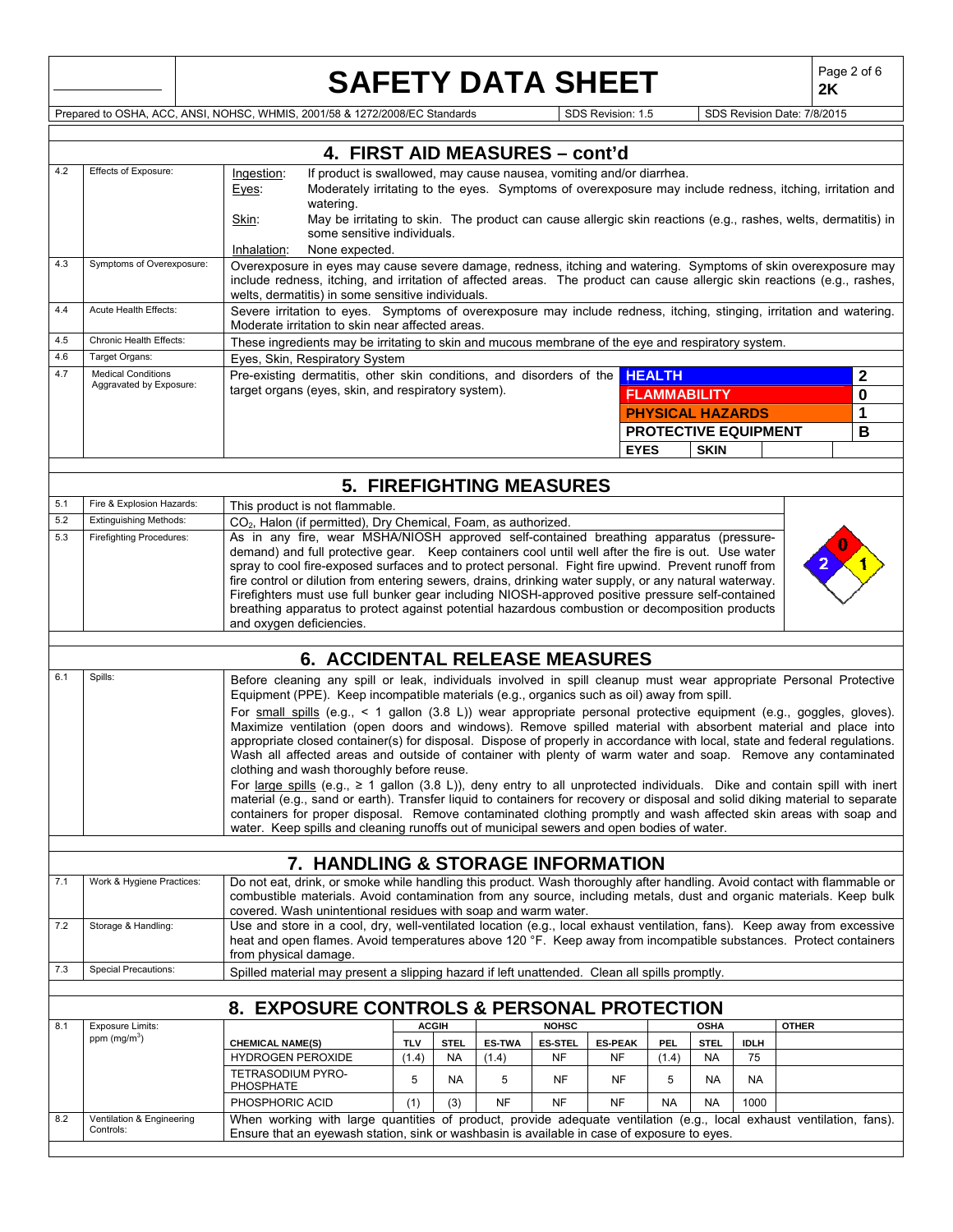## **SAFETY DATA SHEET**

**2K**

Prepared to OSHA, ACC, ANSI, NOHSC, WHMIS, 2001/58 & 1272/2008/EC Standards SUSS Revision: 1.5 SDS Revision Date: 7/8/2015

|     |                                                      | 4. FIRST AID MEASURES - cont'd                                                                                                                                                                                                                                                                  |              |             |                                 |                |                |                             |             |             |              |              |
|-----|------------------------------------------------------|-------------------------------------------------------------------------------------------------------------------------------------------------------------------------------------------------------------------------------------------------------------------------------------------------|--------------|-------------|---------------------------------|----------------|----------------|-----------------------------|-------------|-------------|--------------|--------------|
| 4.2 | Effects of Exposure:                                 | If product is swallowed, may cause nausea, vomiting and/or diarrhea.<br>Ingestion:<br>Moderately irritating to the eyes. Symptoms of overexposure may include redness, itching, irritation and<br>Eyes:<br>watering.                                                                            |              |             |                                 |                |                |                             |             |             |              |              |
|     |                                                      | Skin:<br>May be irritating to skin. The product can cause allergic skin reactions (e.g., rashes, welts, dermatitis) in<br>some sensitive individuals.                                                                                                                                           |              |             |                                 |                |                |                             |             |             |              |              |
|     |                                                      | Inhalation:<br>None expected.                                                                                                                                                                                                                                                                   |              |             |                                 |                |                |                             |             |             |              |              |
| 4.3 | Symptoms of Overexposure:                            | Overexposure in eyes may cause severe damage, redness, itching and watering. Symptoms of skin overexposure may<br>include redness, itching, and irritation of affected areas. The product can cause allergic skin reactions (e.g., rashes,<br>welts, dermatitis) in some sensitive individuals. |              |             |                                 |                |                |                             |             |             |              |              |
| 4.4 | Acute Health Effects:                                | Severe irritation to eyes. Symptoms of overexposure may include redness, itching, stinging, irritation and watering.<br>Moderate irritation to skin near affected areas.                                                                                                                        |              |             |                                 |                |                |                             |             |             |              |              |
| 4.5 | Chronic Health Effects:                              | These ingredients may be irritating to skin and mucous membrane of the eye and respiratory system.                                                                                                                                                                                              |              |             |                                 |                |                |                             |             |             |              |              |
| 4.6 | Target Organs:                                       | Eyes, Skin, Respiratory System                                                                                                                                                                                                                                                                  |              |             |                                 |                |                |                             |             |             |              |              |
| 4.7 | <b>Medical Conditions</b><br>Aggravated by Exposure: | Pre-existing dermatitis, other skin conditions, and disorders of the HEALTH                                                                                                                                                                                                                     |              |             |                                 |                |                |                             |             |             |              | $\mathbf{2}$ |
|     |                                                      | target organs (eyes, skin, and respiratory system).                                                                                                                                                                                                                                             |              |             |                                 |                |                | <b>FLAMMABILITY</b>         |             |             |              | 0            |
|     |                                                      |                                                                                                                                                                                                                                                                                                 |              |             |                                 |                |                | <b>PHYSICAL HAZARDS</b>     |             |             |              | 1            |
|     |                                                      |                                                                                                                                                                                                                                                                                                 |              |             |                                 |                |                | <b>PROTECTIVE EQUIPMENT</b> |             |             |              | B            |
|     |                                                      |                                                                                                                                                                                                                                                                                                 |              |             |                                 |                |                | <b>EYES</b>                 | <b>SKIN</b> |             |              |              |
|     |                                                      |                                                                                                                                                                                                                                                                                                 |              |             |                                 |                |                |                             |             |             |              |              |
|     |                                                      |                                                                                                                                                                                                                                                                                                 |              |             | <b>5. FIREFIGHTING MEASURES</b> |                |                |                             |             |             |              |              |
| 5.1 | Fire & Explosion Hazards:                            | This product is not flammable.                                                                                                                                                                                                                                                                  |              |             |                                 |                |                |                             |             |             |              |              |
| 5.2 | <b>Extinguishing Methods:</b>                        | CO <sub>2</sub> , Halon (if permitted), Dry Chemical, Foam, as authorized.                                                                                                                                                                                                                      |              |             |                                 |                |                |                             |             |             |              |              |
| 5.3 | Firefighting Procedures:                             | As in any fire, wear MSHA/NIOSH approved self-contained breathing apparatus (pressure-<br>demand) and full protective gear. Keep containers cool until well after the fire is out. Use water                                                                                                    |              |             |                                 |                |                |                             |             |             |              |              |
|     |                                                      | spray to cool fire-exposed surfaces and to protect personal. Fight fire upwind. Prevent runoff from                                                                                                                                                                                             |              |             |                                 |                |                |                             |             |             |              |              |
|     |                                                      | fire control or dilution from entering sewers, drains, drinking water supply, or any natural waterway.                                                                                                                                                                                          |              |             |                                 |                |                |                             |             |             |              |              |
|     |                                                      | Firefighters must use full bunker gear including NIOSH-approved positive pressure self-contained                                                                                                                                                                                                |              |             |                                 |                |                |                             |             |             |              |              |
|     |                                                      | breathing apparatus to protect against potential hazardous combustion or decomposition products<br>and oxygen deficiencies.                                                                                                                                                                     |              |             |                                 |                |                |                             |             |             |              |              |
|     |                                                      |                                                                                                                                                                                                                                                                                                 |              |             |                                 |                |                |                             |             |             |              |              |
|     |                                                      | <b>6. ACCIDENTAL RELEASE MEASURES</b>                                                                                                                                                                                                                                                           |              |             |                                 |                |                |                             |             |             |              |              |
| 6.1 | Spills:                                              | Before cleaning any spill or leak, individuals involved in spill cleanup must wear appropriate Personal Protective                                                                                                                                                                              |              |             |                                 |                |                |                             |             |             |              |              |
|     |                                                      | Equipment (PPE). Keep incompatible materials (e.g., organics such as oil) away from spill.                                                                                                                                                                                                      |              |             |                                 |                |                |                             |             |             |              |              |
|     |                                                      | For small spills (e.g., < 1 gallon (3.8 L)) wear appropriate personal protective equipment (e.g., goggles, gloves).                                                                                                                                                                             |              |             |                                 |                |                |                             |             |             |              |              |
|     |                                                      | Maximize ventilation (open doors and windows). Remove spilled material with absorbent material and place into                                                                                                                                                                                   |              |             |                                 |                |                |                             |             |             |              |              |
|     |                                                      | appropriate closed container(s) for disposal. Dispose of properly in accordance with local, state and federal regulations.<br>Wash all affected areas and outside of container with plenty of warm water and soap. Remove any contaminated                                                      |              |             |                                 |                |                |                             |             |             |              |              |
|     |                                                      | clothing and wash thoroughly before reuse.                                                                                                                                                                                                                                                      |              |             |                                 |                |                |                             |             |             |              |              |
|     |                                                      |                                                                                                                                                                                                                                                                                                 |              |             |                                 |                |                |                             |             |             |              |              |
|     |                                                      | For large spills (e.g., $\geq 1$ gallon (3.8 L)), deny entry to all unprotected individuals. Dike and contain spill with inert<br>material (e.g., sand or earth). Transfer liquid to containers for recovery or disposal and solid diking material to separate                                  |              |             |                                 |                |                |                             |             |             |              |              |
|     |                                                      | containers for proper disposal. Remove contaminated clothing promptly and wash affected skin areas with soap and                                                                                                                                                                                |              |             |                                 |                |                |                             |             |             |              |              |
|     |                                                      | water. Keep spills and cleaning runoffs out of municipal sewers and open bodies of water.                                                                                                                                                                                                       |              |             |                                 |                |                |                             |             |             |              |              |
|     |                                                      | 7. HANDLING & STORAGE INFORMATION                                                                                                                                                                                                                                                               |              |             |                                 |                |                |                             |             |             |              |              |
| 7.1 | Work & Hygiene Practices:                            | Do not eat, drink, or smoke while handling this product. Wash thoroughly after handling. Avoid contact with flammable or                                                                                                                                                                        |              |             |                                 |                |                |                             |             |             |              |              |
|     |                                                      | combustible materials. Avoid contamination from any source, including metals, dust and organic materials. Keep bulk                                                                                                                                                                             |              |             |                                 |                |                |                             |             |             |              |              |
|     |                                                      | covered. Wash unintentional residues with soap and warm water.                                                                                                                                                                                                                                  |              |             |                                 |                |                |                             |             |             |              |              |
| 7.2 | Storage & Handling:                                  | Use and store in a cool, dry, well-ventilated location (e.g., local exhaust ventilation, fans). Keep away from excessive                                                                                                                                                                        |              |             |                                 |                |                |                             |             |             |              |              |
|     |                                                      | heat and open flames. Avoid temperatures above 120 °F. Keep away from incompatible substances. Protect containers<br>from physical damage.                                                                                                                                                      |              |             |                                 |                |                |                             |             |             |              |              |
| 7.3 | <b>Special Precautions:</b>                          | Spilled material may present a slipping hazard if left unattended. Clean all spills promptly.                                                                                                                                                                                                   |              |             |                                 |                |                |                             |             |             |              |              |
|     |                                                      |                                                                                                                                                                                                                                                                                                 |              |             |                                 |                |                |                             |             |             |              |              |
|     |                                                      | 8. EXPOSURE CONTROLS & PERSONAL PROTECTION                                                                                                                                                                                                                                                      |              |             |                                 |                |                |                             |             |             |              |              |
| 8.1 | <b>Exposure Limits:</b>                              |                                                                                                                                                                                                                                                                                                 | <b>ACGIH</b> |             |                                 | <b>NOHSC</b>   |                |                             | <b>OSHA</b> |             | <b>OTHER</b> |              |
|     | ppm (mg/m <sup>3</sup> )                             | <b>CHEMICAL NAME(S)</b>                                                                                                                                                                                                                                                                         | <b>TLV</b>   | <b>STEL</b> | <b>ES-TWA</b>                   | <b>ES-STEL</b> | <b>ES-PEAK</b> | <b>PEL</b>                  | <b>STEL</b> | <b>IDLH</b> |              |              |
|     |                                                      | <b>HYDROGEN PEROXIDE</b>                                                                                                                                                                                                                                                                        | (1.4)        | <b>NA</b>   | (1.4)                           | NF             | NF             | (1.4)                       | <b>NA</b>   | 75          |              |              |
|     |                                                      | TETRASODIUM PYRO-<br>PHOSPHATE                                                                                                                                                                                                                                                                  | 5            | <b>NA</b>   | 5                               | NF             | NF             | 5                           | NA          | <b>NA</b>   |              |              |
|     |                                                      | PHOSPHORIC ACID                                                                                                                                                                                                                                                                                 | (1)          | (3)         | <b>NF</b>                       | <b>NF</b>      | <b>NF</b>      | <b>NA</b>                   | <b>NA</b>   | 1000        |              |              |
| 8.2 | Ventilation & Engineering                            | When working with large quantities of product, provide adequate ventilation (e.g., local exhaust ventilation, fans).                                                                                                                                                                            |              |             |                                 |                |                |                             |             |             |              |              |
|     | Controls:                                            | Ensure that an eyewash station, sink or washbasin is available in case of exposure to eyes.                                                                                                                                                                                                     |              |             |                                 |                |                |                             |             |             |              |              |
|     |                                                      |                                                                                                                                                                                                                                                                                                 |              |             |                                 |                |                |                             |             |             |              |              |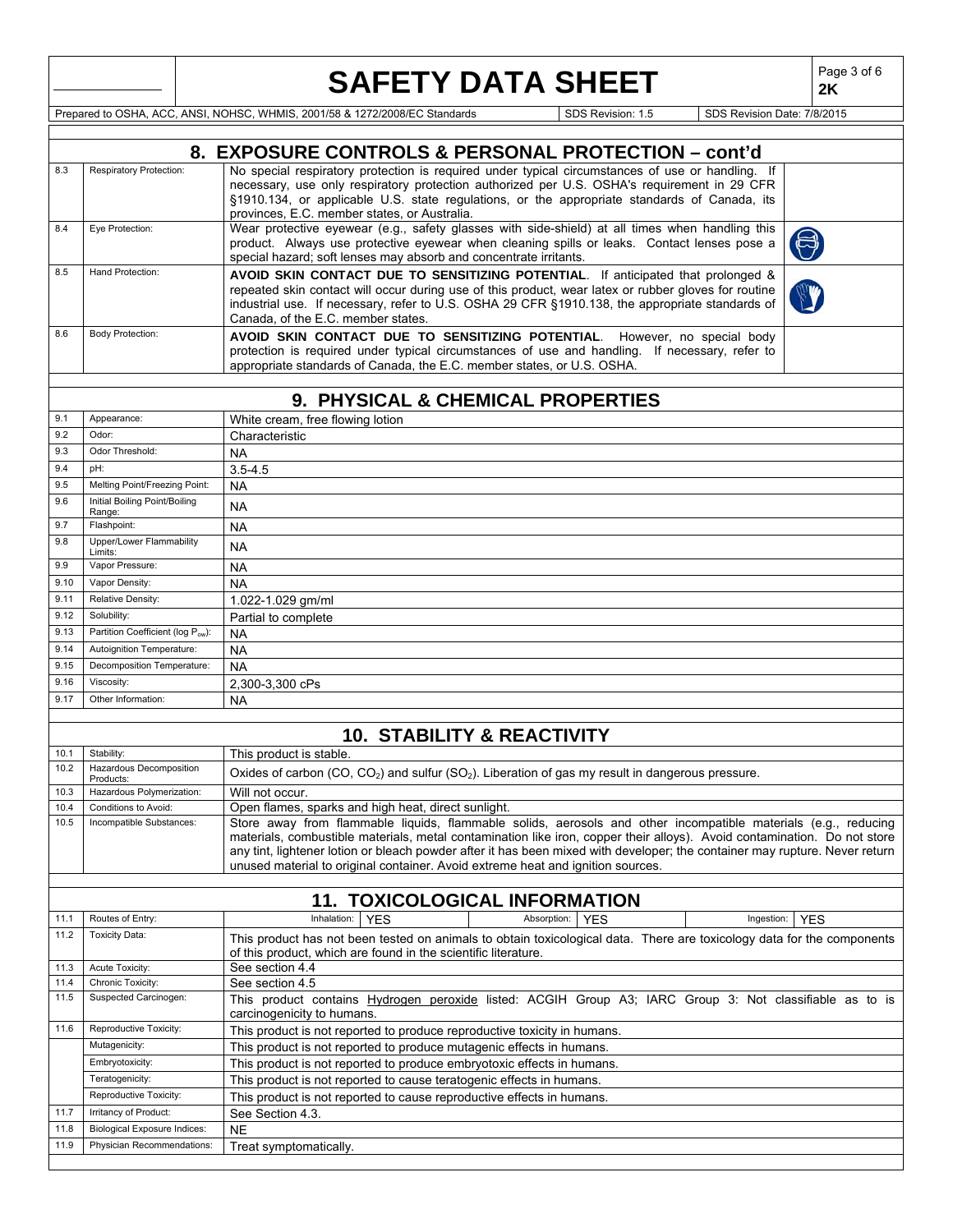|              |                                                         | Page 3 of 6<br><b>SAFETY DATA SHEET</b><br>2K                                                                                                                                                                                                                                                                                                                                                                                                                |  |  |  |
|--------------|---------------------------------------------------------|--------------------------------------------------------------------------------------------------------------------------------------------------------------------------------------------------------------------------------------------------------------------------------------------------------------------------------------------------------------------------------------------------------------------------------------------------------------|--|--|--|
|              |                                                         | Prepared to OSHA, ACC, ANSI, NOHSC, WHMIS, 2001/58 & 1272/2008/EC Standards<br>SDS Revision Date: 7/8/2015<br>SDS Revision: 1.5                                                                                                                                                                                                                                                                                                                              |  |  |  |
|              |                                                         |                                                                                                                                                                                                                                                                                                                                                                                                                                                              |  |  |  |
|              |                                                         | 8. EXPOSURE CONTROLS & PERSONAL PROTECTION - cont'd                                                                                                                                                                                                                                                                                                                                                                                                          |  |  |  |
| 8.3          | Respiratory Protection:                                 | No special respiratory protection is required under typical circumstances of use or handling. If                                                                                                                                                                                                                                                                                                                                                             |  |  |  |
|              |                                                         | necessary, use only respiratory protection authorized per U.S. OSHA's requirement in 29 CFR<br>§1910.134, or applicable U.S. state regulations, or the appropriate standards of Canada, its<br>provinces, E.C. member states, or Australia.                                                                                                                                                                                                                  |  |  |  |
| 8.4          | Eye Protection:                                         | Wear protective eyewear (e.g., safety glasses with side-shield) at all times when handling this<br>product. Always use protective eyewear when cleaning spills or leaks. Contact lenses pose a                                                                                                                                                                                                                                                               |  |  |  |
| 8.5          | Hand Protection:                                        | special hazard; soft lenses may absorb and concentrate irritants.<br>AVOID SKIN CONTACT DUE TO SENSITIZING POTENTIAL. If anticipated that prolonged &                                                                                                                                                                                                                                                                                                        |  |  |  |
|              |                                                         | repeated skin contact will occur during use of this product, wear latex or rubber gloves for routine<br>industrial use. If necessary, refer to U.S. OSHA 29 CFR §1910.138, the appropriate standards of<br>Canada, of the E.C. member states.                                                                                                                                                                                                                |  |  |  |
| 8.6          | <b>Body Protection:</b>                                 | AVOID SKIN CONTACT DUE TO SENSITIZING POTENTIAL. However, no special body<br>protection is required under typical circumstances of use and handling. If necessary, refer to<br>appropriate standards of Canada, the E.C. member states, or U.S. OSHA.                                                                                                                                                                                                        |  |  |  |
|              |                                                         | 9. PHYSICAL & CHEMICAL PROPERTIES                                                                                                                                                                                                                                                                                                                                                                                                                            |  |  |  |
| 9.1          | Appearance:                                             | White cream, free flowing lotion                                                                                                                                                                                                                                                                                                                                                                                                                             |  |  |  |
| 9.2          | Odor:                                                   | Characteristic                                                                                                                                                                                                                                                                                                                                                                                                                                               |  |  |  |
| 9.3          | Odor Threshold:                                         | <b>NA</b>                                                                                                                                                                                                                                                                                                                                                                                                                                                    |  |  |  |
| 9.4          | pH:                                                     | $3.5 - 4.5$                                                                                                                                                                                                                                                                                                                                                                                                                                                  |  |  |  |
| 9.5          | Melting Point/Freezing Point:                           | <b>NA</b>                                                                                                                                                                                                                                                                                                                                                                                                                                                    |  |  |  |
| 9.6          | Initial Boiling Point/Boiling<br>Range:                 | <b>NA</b>                                                                                                                                                                                                                                                                                                                                                                                                                                                    |  |  |  |
| 9.7          | Flashpoint:                                             | <b>NA</b>                                                                                                                                                                                                                                                                                                                                                                                                                                                    |  |  |  |
| 9.8          | Upper/Lower Flammability<br>Limits:                     | <b>NA</b>                                                                                                                                                                                                                                                                                                                                                                                                                                                    |  |  |  |
| 9.9          | Vapor Pressure:                                         | <b>NA</b>                                                                                                                                                                                                                                                                                                                                                                                                                                                    |  |  |  |
| 9.10         | Vapor Density:                                          | <b>NA</b>                                                                                                                                                                                                                                                                                                                                                                                                                                                    |  |  |  |
| 9.11         | Relative Density:                                       | 1.022-1.029 gm/ml                                                                                                                                                                                                                                                                                                                                                                                                                                            |  |  |  |
| 9.12         | Solubility:                                             | Partial to complete                                                                                                                                                                                                                                                                                                                                                                                                                                          |  |  |  |
| 9.13         | Partition Coefficient (log Pow):                        | <b>NA</b>                                                                                                                                                                                                                                                                                                                                                                                                                                                    |  |  |  |
| 9.14         | Autoignition Temperature:<br>Decomposition Temperature: | <b>NA</b>                                                                                                                                                                                                                                                                                                                                                                                                                                                    |  |  |  |
| 9.15<br>9.16 | Viscosity:                                              | <b>NA</b>                                                                                                                                                                                                                                                                                                                                                                                                                                                    |  |  |  |
| 9.17         | Other Information:                                      | 2,300-3,300 cPs<br><b>NA</b>                                                                                                                                                                                                                                                                                                                                                                                                                                 |  |  |  |
|              |                                                         |                                                                                                                                                                                                                                                                                                                                                                                                                                                              |  |  |  |
|              |                                                         | <b>10. STABILITY &amp; REACTIVITY</b>                                                                                                                                                                                                                                                                                                                                                                                                                        |  |  |  |
|              | 10.1 Stability:                                         | This product is stable.                                                                                                                                                                                                                                                                                                                                                                                                                                      |  |  |  |
| 10.2         | Hazardous Decomposition                                 | Oxides of carbon (CO, CO <sub>2</sub> ) and sulfur (SO <sub>2</sub> ). Liberation of gas my result in dangerous pressure.                                                                                                                                                                                                                                                                                                                                    |  |  |  |
| 10.3         | Products:<br>Hazardous Polymerization:                  | Will not occur.                                                                                                                                                                                                                                                                                                                                                                                                                                              |  |  |  |
| 10.4         | Conditions to Avoid:                                    | Open flames, sparks and high heat, direct sunlight.                                                                                                                                                                                                                                                                                                                                                                                                          |  |  |  |
| 10.5         | Incompatible Substances:                                | Store away from flammable liquids, flammable solids, aerosols and other incompatible materials (e.g., reducing<br>materials, combustible materials, metal contamination like iron, copper their alloys). Avoid contamination. Do not store<br>any tint, lightener lotion or bleach powder after it has been mixed with developer; the container may rupture. Never return<br>unused material to original container. Avoid extreme heat and ignition sources. |  |  |  |
|              |                                                         | <b>11. TOXICOLOGICAL INFORMATION</b>                                                                                                                                                                                                                                                                                                                                                                                                                         |  |  |  |
| 11.1         | Routes of Entry:                                        | Inhalation:<br><b>YES</b><br>Absorption:<br><b>YES</b><br>Ingestion:<br><b>YES</b>                                                                                                                                                                                                                                                                                                                                                                           |  |  |  |
| 11.2         | <b>Toxicity Data:</b>                                   | This product has not been tested on animals to obtain toxicological data. There are toxicology data for the components<br>of this product, which are found in the scientific literature.                                                                                                                                                                                                                                                                     |  |  |  |
| 11.3         | Acute Toxicity:                                         | See section 4.4                                                                                                                                                                                                                                                                                                                                                                                                                                              |  |  |  |
| 11.4         | Chronic Toxicity:                                       | See section 4.5                                                                                                                                                                                                                                                                                                                                                                                                                                              |  |  |  |
| 11.5         | Suspected Carcinogen:                                   | This product contains Hydrogen peroxide listed: ACGIH Group A3; IARC Group 3: Not classifiable as to is<br>carcinogenicity to humans.                                                                                                                                                                                                                                                                                                                        |  |  |  |
| 11.6         | Reproductive Toxicity:                                  | This product is not reported to produce reproductive toxicity in humans.                                                                                                                                                                                                                                                                                                                                                                                     |  |  |  |
|              | Mutagenicity:                                           | This product is not reported to produce mutagenic effects in humans.                                                                                                                                                                                                                                                                                                                                                                                         |  |  |  |
|              | Embryotoxicity:<br>Teratogenicity:                      | This product is not reported to produce embryotoxic effects in humans.                                                                                                                                                                                                                                                                                                                                                                                       |  |  |  |
|              | Reproductive Toxicity:                                  | This product is not reported to cause teratogenic effects in humans.<br>This product is not reported to cause reproductive effects in humans.                                                                                                                                                                                                                                                                                                                |  |  |  |
| 11.7         | Irritancy of Product:                                   | See Section 4.3.                                                                                                                                                                                                                                                                                                                                                                                                                                             |  |  |  |
| 11.8         | <b>Biological Exposure Indices:</b>                     | <b>NE</b>                                                                                                                                                                                                                                                                                                                                                                                                                                                    |  |  |  |
| 11.9         | Physician Recommendations:                              | Treat symptomatically.                                                                                                                                                                                                                                                                                                                                                                                                                                       |  |  |  |
|              |                                                         |                                                                                                                                                                                                                                                                                                                                                                                                                                                              |  |  |  |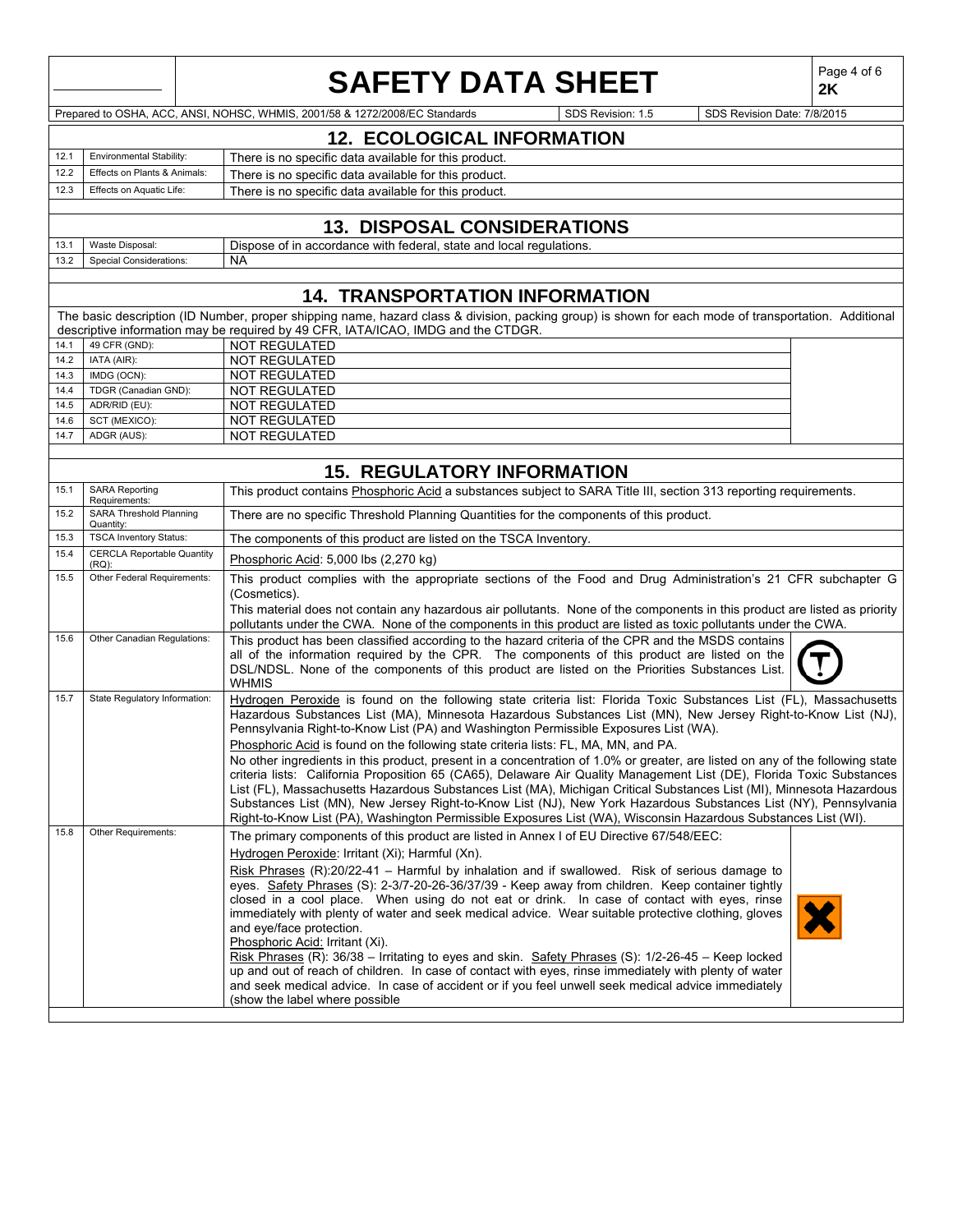|      |                                               | <b>SAFETY DATA SHEET</b>                                                                                                                                                                                                                                                                                                                                                                                                                                                                                                                                                                                                                                                                                                                                                                                                                                                                                                                                                     |                   |                             | Page 4 of 6<br>2K |
|------|-----------------------------------------------|------------------------------------------------------------------------------------------------------------------------------------------------------------------------------------------------------------------------------------------------------------------------------------------------------------------------------------------------------------------------------------------------------------------------------------------------------------------------------------------------------------------------------------------------------------------------------------------------------------------------------------------------------------------------------------------------------------------------------------------------------------------------------------------------------------------------------------------------------------------------------------------------------------------------------------------------------------------------------|-------------------|-----------------------------|-------------------|
|      |                                               | Prepared to OSHA, ACC, ANSI, NOHSC, WHMIS, 2001/58 & 1272/2008/EC Standards                                                                                                                                                                                                                                                                                                                                                                                                                                                                                                                                                                                                                                                                                                                                                                                                                                                                                                  | SDS Revision: 1.5 | SDS Revision Date: 7/8/2015 |                   |
|      |                                               | <b>12. ECOLOGICAL INFORMATION</b>                                                                                                                                                                                                                                                                                                                                                                                                                                                                                                                                                                                                                                                                                                                                                                                                                                                                                                                                            |                   |                             |                   |
| 12.1 | <b>Environmental Stability:</b>               |                                                                                                                                                                                                                                                                                                                                                                                                                                                                                                                                                                                                                                                                                                                                                                                                                                                                                                                                                                              |                   |                             |                   |
| 12.2 | Effects on Plants & Animals:                  | There is no specific data available for this product.<br>There is no specific data available for this product.                                                                                                                                                                                                                                                                                                                                                                                                                                                                                                                                                                                                                                                                                                                                                                                                                                                               |                   |                             |                   |
| 12.3 | Effects on Aquatic Life:                      | There is no specific data available for this product.                                                                                                                                                                                                                                                                                                                                                                                                                                                                                                                                                                                                                                                                                                                                                                                                                                                                                                                        |                   |                             |                   |
|      |                                               |                                                                                                                                                                                                                                                                                                                                                                                                                                                                                                                                                                                                                                                                                                                                                                                                                                                                                                                                                                              |                   |                             |                   |
|      |                                               | <b>13. DISPOSAL CONSIDERATIONS</b>                                                                                                                                                                                                                                                                                                                                                                                                                                                                                                                                                                                                                                                                                                                                                                                                                                                                                                                                           |                   |                             |                   |
| 13.1 | Waste Disposal:                               | Dispose of in accordance with federal, state and local regulations.                                                                                                                                                                                                                                                                                                                                                                                                                                                                                                                                                                                                                                                                                                                                                                                                                                                                                                          |                   |                             |                   |
| 13.2 | Special Considerations:                       | <b>NA</b>                                                                                                                                                                                                                                                                                                                                                                                                                                                                                                                                                                                                                                                                                                                                                                                                                                                                                                                                                                    |                   |                             |                   |
|      |                                               |                                                                                                                                                                                                                                                                                                                                                                                                                                                                                                                                                                                                                                                                                                                                                                                                                                                                                                                                                                              |                   |                             |                   |
|      |                                               | <b>14. TRANSPORTATION INFORMATION</b>                                                                                                                                                                                                                                                                                                                                                                                                                                                                                                                                                                                                                                                                                                                                                                                                                                                                                                                                        |                   |                             |                   |
|      |                                               | The basic description (ID Number, proper shipping name, hazard class & division, packing group) is shown for each mode of transportation. Additional                                                                                                                                                                                                                                                                                                                                                                                                                                                                                                                                                                                                                                                                                                                                                                                                                         |                   |                             |                   |
| 14.1 | 49 CFR (GND):                                 | descriptive information may be required by 49 CFR, IATA/ICAO, IMDG and the CTDGR.<br><b>NOT REGULATED</b>                                                                                                                                                                                                                                                                                                                                                                                                                                                                                                                                                                                                                                                                                                                                                                                                                                                                    |                   |                             |                   |
| 14.2 | IATA (AIR):                                   | NOT REGULATED                                                                                                                                                                                                                                                                                                                                                                                                                                                                                                                                                                                                                                                                                                                                                                                                                                                                                                                                                                |                   |                             |                   |
| 14.3 | IMDG (OCN):                                   | <b>NOT REGULATED</b>                                                                                                                                                                                                                                                                                                                                                                                                                                                                                                                                                                                                                                                                                                                                                                                                                                                                                                                                                         |                   |                             |                   |
| 14.4 | TDGR (Canadian GND):                          | <b>NOT REGULATED</b>                                                                                                                                                                                                                                                                                                                                                                                                                                                                                                                                                                                                                                                                                                                                                                                                                                                                                                                                                         |                   |                             |                   |
| 14.5 | ADR/RID (EU):                                 | NOT REGULATED                                                                                                                                                                                                                                                                                                                                                                                                                                                                                                                                                                                                                                                                                                                                                                                                                                                                                                                                                                |                   |                             |                   |
| 14.6 | SCT (MEXICO):                                 | <b>NOT REGULATED</b>                                                                                                                                                                                                                                                                                                                                                                                                                                                                                                                                                                                                                                                                                                                                                                                                                                                                                                                                                         |                   |                             |                   |
| 14.7 | ADGR (AUS):                                   | NOT REGULATED                                                                                                                                                                                                                                                                                                                                                                                                                                                                                                                                                                                                                                                                                                                                                                                                                                                                                                                                                                |                   |                             |                   |
|      |                                               |                                                                                                                                                                                                                                                                                                                                                                                                                                                                                                                                                                                                                                                                                                                                                                                                                                                                                                                                                                              |                   |                             |                   |
|      |                                               | <b>15. REGULATORY INFORMATION</b>                                                                                                                                                                                                                                                                                                                                                                                                                                                                                                                                                                                                                                                                                                                                                                                                                                                                                                                                            |                   |                             |                   |
| 15.1 | <b>SARA Reporting</b><br>Requirements:        | This product contains Phosphoric Acid a substances subject to SARA Title III, section 313 reporting requirements.                                                                                                                                                                                                                                                                                                                                                                                                                                                                                                                                                                                                                                                                                                                                                                                                                                                            |                   |                             |                   |
| 15.2 | SARA Threshold Planning<br>Quantity:          | There are no specific Threshold Planning Quantities for the components of this product.                                                                                                                                                                                                                                                                                                                                                                                                                                                                                                                                                                                                                                                                                                                                                                                                                                                                                      |                   |                             |                   |
| 15.3 | <b>TSCA Inventory Status:</b>                 | The components of this product are listed on the TSCA Inventory.                                                                                                                                                                                                                                                                                                                                                                                                                                                                                                                                                                                                                                                                                                                                                                                                                                                                                                             |                   |                             |                   |
| 15.4 | <b>CERCLA Reportable Quantity</b><br>$(RQ)$ : | Phosphoric Acid: 5,000 lbs (2,270 kg)                                                                                                                                                                                                                                                                                                                                                                                                                                                                                                                                                                                                                                                                                                                                                                                                                                                                                                                                        |                   |                             |                   |
| 15.5 | Other Federal Requirements:                   | This product complies with the appropriate sections of the Food and Drug Administration's 21 CFR subchapter G<br>(Cosmetics).                                                                                                                                                                                                                                                                                                                                                                                                                                                                                                                                                                                                                                                                                                                                                                                                                                                |                   |                             |                   |
|      |                                               | This material does not contain any hazardous air pollutants. None of the components in this product are listed as priority<br>pollutants under the CWA. None of the components in this product are listed as toxic pollutants under the CWA.                                                                                                                                                                                                                                                                                                                                                                                                                                                                                                                                                                                                                                                                                                                                 |                   |                             |                   |
| 15.6 | Other Canadian Regulations:                   | This product has been classified according to the hazard criteria of the CPR and the MSDS contains<br>all of the information required by the CPR. The components of this product are listed on the<br>DSL/NDSL. None of the components of this product are listed on the Priorities Substances List.<br><b>WHMIS</b>                                                                                                                                                                                                                                                                                                                                                                                                                                                                                                                                                                                                                                                         |                   |                             |                   |
| 15.7 | State Regulatory Information:                 | Hydrogen Peroxide is found on the following state criteria list: Florida Toxic Substances List (FL), Massachusetts<br>Hazardous Substances List (MA), Minnesota Hazardous Substances List (MN), New Jersey Right-to-Know List (NJ),<br>Pennsylvania Right-to-Know List (PA) and Washington Permissible Exposures List (WA).<br>Phosphoric Acid is found on the following state criteria lists: FL, MA, MN, and PA.                                                                                                                                                                                                                                                                                                                                                                                                                                                                                                                                                           |                   |                             |                   |
|      |                                               | No other ingredients in this product, present in a concentration of 1.0% or greater, are listed on any of the following state<br>criteria lists: California Proposition 65 (CA65), Delaware Air Quality Management List (DE), Florida Toxic Substances<br>List (FL), Massachusetts Hazardous Substances List (MA), Michigan Critical Substances List (MI), Minnesota Hazardous<br>Substances List (MN), New Jersey Right-to-Know List (NJ), New York Hazardous Substances List (NY), Pennsylvania<br>Right-to-Know List (PA), Washington Permissible Exposures List (WA), Wisconsin Hazardous Substances List (WI).                                                                                                                                                                                                                                                                                                                                                          |                   |                             |                   |
| 15.8 | Other Requirements:                           | The primary components of this product are listed in Annex I of EU Directive 67/548/EEC:<br>Hydrogen Peroxide: Irritant (Xi); Harmful (Xn).<br>Risk Phrases (R):20/22-41 – Harmful by inhalation and if swallowed. Risk of serious damage to<br>eyes. Safety Phrases (S): 2-3/7-20-26-36/37/39 - Keep away from children. Keep container tightly<br>closed in a cool place. When using do not eat or drink. In case of contact with eyes, rinse<br>immediately with plenty of water and seek medical advice. Wear suitable protective clothing, gloves<br>and eye/face protection.<br>Phosphoric Acid: Irritant (Xi).<br>Risk Phrases (R): 36/38 - Irritating to eyes and skin. Safety Phrases (S): 1/2-26-45 - Keep locked<br>up and out of reach of children. In case of contact with eyes, rinse immediately with plenty of water<br>and seek medical advice. In case of accident or if you feel unwell seek medical advice immediately<br>(show the label where possible |                   |                             |                   |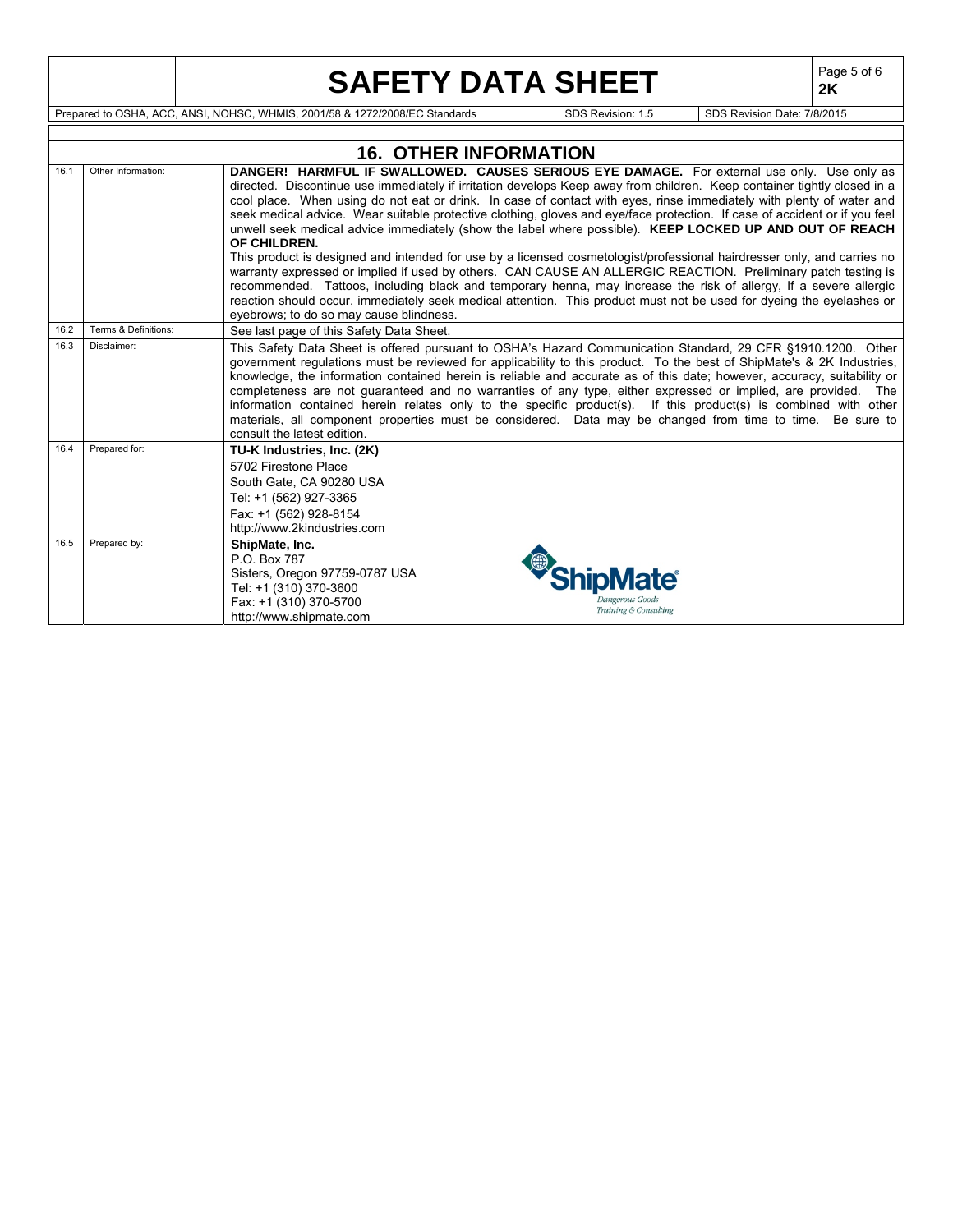|      |                                                                                                                                 | <b>SAFETY DATA SHEET</b>                                                                                                                                                                                                                                                                                                                                                                                                                                                                                                                                                                                                                                                                                                                                                                                                                                                                                                                                                                                                                                                                          |                                          |  | Page 5 of 6<br>2K |  |  |  |  |  |
|------|---------------------------------------------------------------------------------------------------------------------------------|---------------------------------------------------------------------------------------------------------------------------------------------------------------------------------------------------------------------------------------------------------------------------------------------------------------------------------------------------------------------------------------------------------------------------------------------------------------------------------------------------------------------------------------------------------------------------------------------------------------------------------------------------------------------------------------------------------------------------------------------------------------------------------------------------------------------------------------------------------------------------------------------------------------------------------------------------------------------------------------------------------------------------------------------------------------------------------------------------|------------------------------------------|--|-------------------|--|--|--|--|--|
|      | Prepared to OSHA, ACC, ANSI, NOHSC, WHMIS, 2001/58 & 1272/2008/EC Standards<br>SDS Revision: 1.5<br>SDS Revision Date: 7/8/2015 |                                                                                                                                                                                                                                                                                                                                                                                                                                                                                                                                                                                                                                                                                                                                                                                                                                                                                                                                                                                                                                                                                                   |                                          |  |                   |  |  |  |  |  |
|      |                                                                                                                                 |                                                                                                                                                                                                                                                                                                                                                                                                                                                                                                                                                                                                                                                                                                                                                                                                                                                                                                                                                                                                                                                                                                   |                                          |  |                   |  |  |  |  |  |
|      |                                                                                                                                 | <b>16. OTHER INFORMATION</b>                                                                                                                                                                                                                                                                                                                                                                                                                                                                                                                                                                                                                                                                                                                                                                                                                                                                                                                                                                                                                                                                      |                                          |  |                   |  |  |  |  |  |
| 16.1 | Other Information:                                                                                                              | DANGER! HARMFUL IF SWALLOWED. CAUSES SERIOUS EYE DAMAGE. For external use only. Use only as<br>directed. Discontinue use immediately if irritation develops Keep away from children. Keep container tightly closed in a<br>cool place. When using do not eat or drink. In case of contact with eyes, rinse immediately with plenty of water and<br>seek medical advice. Wear suitable protective clothing, gloves and eye/face protection. If case of accident or if you feel<br>unwell seek medical advice immediately (show the label where possible). KEEP LOCKED UP AND OUT OF REACH<br>OF CHILDREN.<br>This product is designed and intended for use by a licensed cosmetologist/professional hairdresser only, and carries no<br>warranty expressed or implied if used by others. CAN CAUSE AN ALLERGIC REACTION. Preliminary patch testing is<br>recommended. Tattoos, including black and temporary henna, may increase the risk of allergy, If a severe allergic<br>reaction should occur, immediately seek medical attention. This product must not be used for dyeing the eyelashes or |                                          |  |                   |  |  |  |  |  |
| 16.2 | Terms & Definitions:                                                                                                            | eyebrows; to do so may cause blindness.                                                                                                                                                                                                                                                                                                                                                                                                                                                                                                                                                                                                                                                                                                                                                                                                                                                                                                                                                                                                                                                           |                                          |  |                   |  |  |  |  |  |
| 16.3 | Disclaimer:                                                                                                                     | See last page of this Safety Data Sheet.<br>This Safety Data Sheet is offered pursuant to OSHA's Hazard Communication Standard, 29 CFR §1910.1200. Other<br>government regulations must be reviewed for applicability to this product. To the best of ShipMate's & 2K Industries,<br>knowledge, the information contained herein is reliable and accurate as of this date; however, accuracy, suitability or<br>completeness are not guaranteed and no warranties of any type, either expressed or implied, are provided. The<br>information contained herein relates only to the specific product(s). If this product(s) is combined with other<br>materials, all component properties must be considered. Data may be changed from time to time. Be sure to<br>consult the latest edition.                                                                                                                                                                                                                                                                                                      |                                          |  |                   |  |  |  |  |  |
| 16.4 | Prepared for:                                                                                                                   | TU-K Industries, Inc. (2K)<br>5702 Firestone Place<br>South Gate, CA 90280 USA<br>Tel: +1 (562) 927-3365<br>Fax: +1 (562) 928-8154<br>http://www.2kindustries.com                                                                                                                                                                                                                                                                                                                                                                                                                                                                                                                                                                                                                                                                                                                                                                                                                                                                                                                                 |                                          |  |                   |  |  |  |  |  |
| 16.5 | Prepared by:                                                                                                                    | ShipMate, Inc.<br>P.O. Box 787<br>Sisters, Oregon 97759-0787 USA<br>Tel: +1 (310) 370-3600<br>Fax: +1 (310) 370-5700<br>http://www.shipmate.com                                                                                                                                                                                                                                                                                                                                                                                                                                                                                                                                                                                                                                                                                                                                                                                                                                                                                                                                                   | Dangerous Goods<br>Training & Consulting |  |                   |  |  |  |  |  |